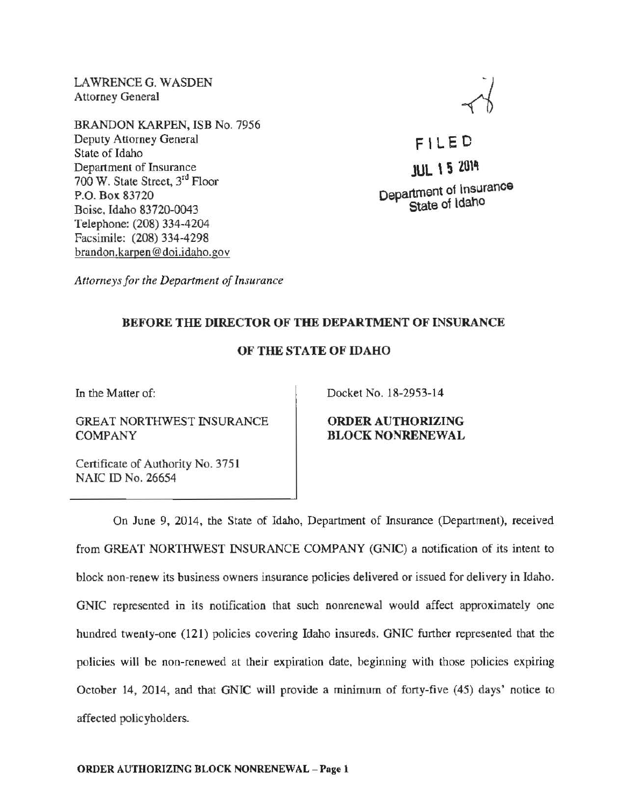LAWRENCE G. WASDEN Attorney General

BRANDON KARPEN, ISB No. 7956 Deputy Attorney General State of Idaho Department of Insurance 700 W. State Street, 3rd Floor P.O. Box 83720 Boise, Idaho 83720-0043 Telephone: (208) 334-4204 Facsimile: (208) 334-4298 brandon.karoen@doi.idaho.gov

F l L E 0 JUL \ 5 20\'1 Department of Insurance State of Idaho

*Attorneys for the Department of Insurance* 

## BEFORE THE DIRECTOR OF THE DEPARTMENT OF INSURANCE

## OF THE STATE OF IDAHO

In the Matter of:

GREAT NORTHWEST INSURANCE COMPANY

Docket No. 18-2953-14

ORDER AUTHORIZING BLOCK NONRENEWAL

Certificate of Authority No. 3751 NAIC ID No. 26654

On June 9, 2014, the State of Idaho, Department of Insurance (Department), received from GREAT NORTHWEST INSURANCE COMPANY (GNIC) a notification of its intent to block non-renew its business owners insurance policies delivered or issued for delivery in Idaho. GNIC represented in its notification that such nonrenewal would affect approximately one hundred twenty-one (121) policies covering Idaho insureds. GNIC further represented that the policies will be non-renewed at their expiration date, beginning with those policies expiring October 14, 2014, and that GNIC will provide a minimum of forty-five (45) days' notice to affected policyholders.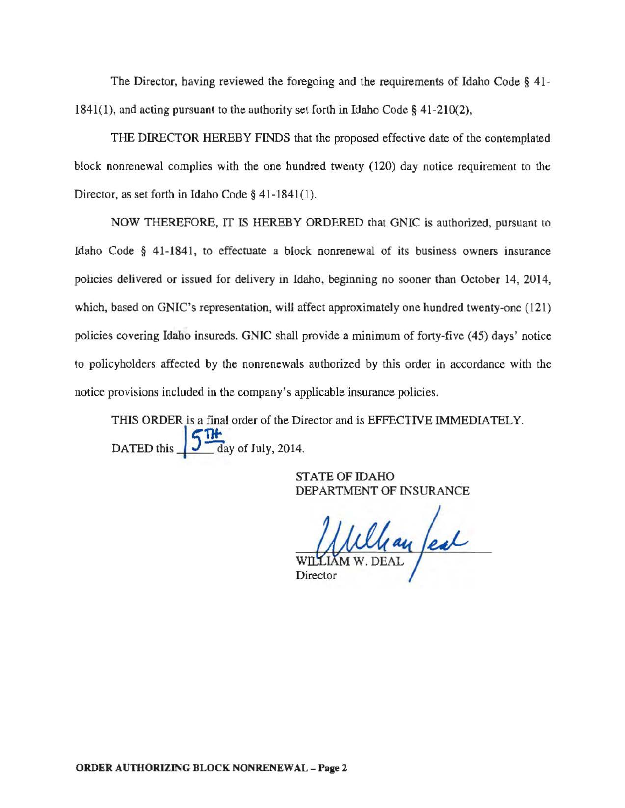The Director, having reviewed the foregoing and the requirements of Idaho Code § 41- 1841(1), and acting pursuant to the authority set forth in Idaho Code§ 41-210(2),

THE DIRECTOR HEREBY FINDS that the proposed effective date of the contemplated block nonrenewal complies with the one hundred twenty (120) day notice requirement to the Director, as set forth in Idaho Code § 41-1841(1).

NOW THEREFORE, IT IS HEREBY ORDERED that GNIC is authorized, pursuant to Idaho Code § 41-1841, to effectuate a block nonrenewal of its business owners insurance policies delivered or issued for delivery in Idaho, beginning no sooner than October 14, 2014, which, based on GNIC's representation, will affect approximately one hundred twenty-one (121) policies covering Idaho insureds. GNIC shall provide a minimum of forty-five (45) days' notice to policyholders affected by the nonrenewals authorized by this order in accordance with the notice provisions included in the company's applicable insurance policies.

THIS ORDER is a final order of the Director and is EFFECTIVE IMMEDIATELY. DATED this  $5\frac{n}{dy}$  of July, 2014.

> STATE OF IDAHO DEPARTMENT OF INSURANCE

Whay feal Director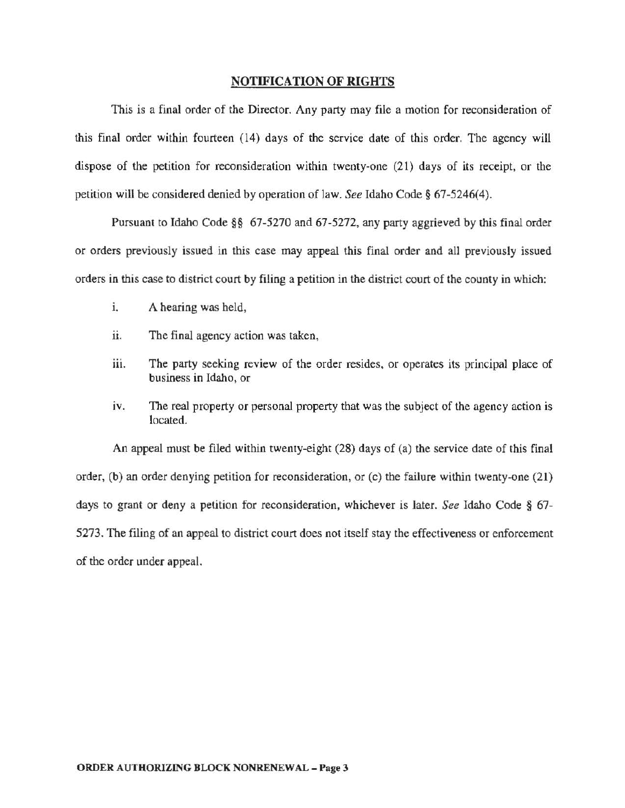## NOTIFICATION OF RIGHTS

This is a final order of the Director. Any party may file a motion for reconsideration of this final order within fourteen (14) days of the service date of this order. The agency will dispose of the petition for reconsideration within twenty-one (21) days of its receipt, or the petition will be considered denied by operation of law. *See* Idaho Code§ 67-5246(4).

Pursuant to Idaho Code§§ 67-5270 and 67-5272, any party aggrieved by this final order or orders previously issued in this case may appeal this final order and all previously issued orders in this case to district court by filing a petition in the district court of the county in which:

- i. A hearing was held,
- ii. The final agency action was taken,
- iii. The party seeking review of the order resides, or operates its principal place of business in Idaho, or
- $\alpha$ . The real property or personal property that was the subject of the agency action is located.

An appeal must be filed within twenty-eight (28) days of (a) the service date of this final order, (b) an order denying petition for reconsideration, or  $(c)$  the failure within twenty-one  $(21)$ days to grant or deny a petition for reconsideration, whichever is later. *See* Idaho Code § 67- 5273. The filing of an appeal to district court does not itself stay the effectiveness or enforcement of the order under appeal.